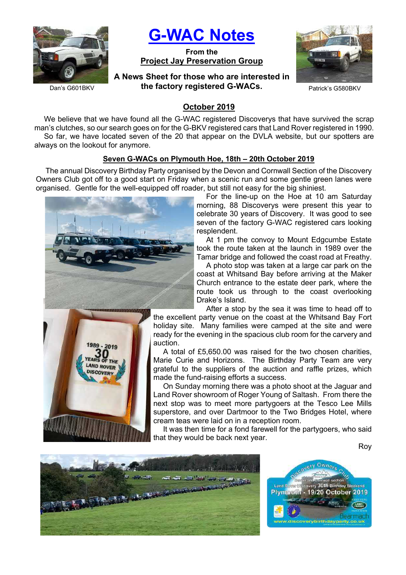

G-WAC Notes

From the Project Jay Preservation Group



Dan's G601BKV

A News Sheet for those who are interested in the factory registered G-WACs.

## October 2019

We believe that we have found all the G-WAC registered Discoverys that have survived the scrap man's clutches, so our search goes on for the G-BKV registered cars that Land Rover registered in 1990. So far, we have located seven of the 20 that appear on the DVLA website, but our spotters are always on the lookout for anymore.

#### Seven G-WACs on Plymouth Hoe, 18th – 20th October 2019

The annual Discovery Birthday Party organised by the Devon and Cornwall Section of the Discovery Owners Club got off to a good start on Friday when a scenic run and some gentle green lanes were organised. Gentle for the well-equipped off roader, but still not easy for the big shiniest.





For the line-up on the Hoe at 10 am Saturday morning, 88 Discoverys were present this year to celebrate 30 years of Discovery. It was good to see seven of the factory G-WAC registered cars looking resplendent.

At 1 pm the convoy to Mount Edgcumbe Estate took the route taken at the launch in 1989 over the Tamar bridge and followed the coast road at Freathy.

A photo stop was taken at a large car park on the coast at Whitsand Bay before arriving at the Maker Church entrance to the estate deer park, where the route took us through to the coast overlooking Drake's Island.

After a stop by the sea it was time to head off to

the excellent party venue on the coast at the Whitsand Bay Fort holiday site. Many families were camped at the site and were ready for the evening in the spacious club room for the carvery and auction.

A total of £5,650.00 was raised for the two chosen charities, Marie Curie and Horizons. The Birthday Party Team are very grateful to the suppliers of the auction and raffle prizes, which made the fund-raising efforts a success.

On Sunday morning there was a photo shoot at the Jaguar and Land Rover showroom of Roger Young of Saltash. From there the next stop was to meet more partygoers at the Tesco Lee Mills superstore, and over Dartmoor to the Two Bridges Hotel, where cream teas were laid on in a reception room.

It was then time for a fond farewell for the partygoers, who said that they would be back next year.

Roy



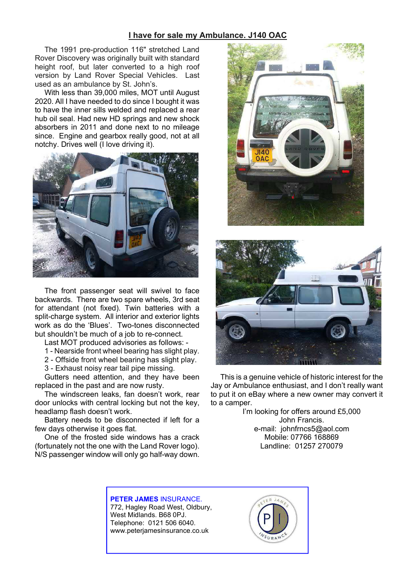#### I have for sale my Ambulance. J140 OAC

The 1991 pre-production 116" stretched Land Rover Discovery was originally built with standard height roof, but later converted to a high roof version by Land Rover Special Vehicles. Last used as an ambulance by St. John's.

With less than 39,000 miles, MOT until August 2020. All I have needed to do since I bought it was to have the inner sills welded and replaced a rear hub oil seal. Had new HD springs and new shock absorbers in 2011 and done next to no mileage since. Engine and gearbox really good, not at all notchy. Drives well (I love driving it).



The front passenger seat will swivel to face backwards. There are two spare wheels, 3rd seat for attendant (not fixed). Twin batteries with a split-charge system. All interior and exterior lights work as do the 'Blues'. Two-tones disconnected but shouldn't be much of a job to re-connect.

Last MOT produced advisories as follows: -

- 1 Nearside front wheel bearing has slight play.
- 2 Offside front wheel bearing has slight play.
- 3 Exhaust noisy rear tail pipe missing.

Gutters need attention, and they have been replaced in the past and are now rusty.

The windscreen leaks, fan doesn't work, rear door unlocks with central locking but not the key, headlamp flash doesn't work.

Battery needs to be disconnected if left for a few days otherwise it goes flat.

One of the frosted side windows has a crack (fortunately not the one with the Land Rover logo). N/S passenger window will only go half-way down.





This is a genuine vehicle of historic interest for the Jay or Ambulance enthusiast, and I don't really want to put it on eBay where a new owner may convert it to a camper.

> I'm looking for offers around £5,000 John Francis. e-mail: johnfrncs5@aol.com Mobile: 07766 168869 Landline: 01257 270079

PETER JAMES INSURANCE. 772, Hagley Road West, Oldbury,

West Midlands. B68 0PJ. Telephone: 0121 506 6040. www.peterjamesinsurance.co.uk

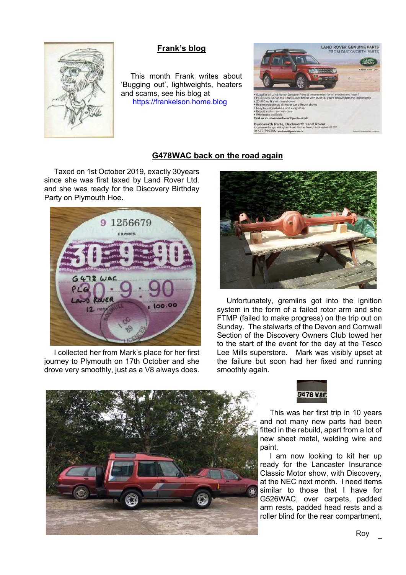

# Frank's blog

This month Frank writes about 'Bugging out', lightweights, heaters and scams, see his blog at https://frankelson.home.blog



### G478WAC back on the road again

Taxed on 1st October 2019, exactly 30years since she was first taxed by Land Rover Ltd. and she was ready for the Discovery Birthday Party on Plymouth Hoe.



I collected her from Mark's place for her first journey to Plymouth on 17th October and she drove very smoothly, just as a V8 always does.



Unfortunately, gremlins got into the ignition system in the form of a failed rotor arm and she FTMP (failed to make progress) on the trip out on Sunday. The stalwarts of the Devon and Cornwall Section of the Discovery Owners Club towed her to the start of the event for the day at the Tesco Lee Mills superstore. Mark was visibly upset at the failure but soon had her fixed and running smoothly again.





This was her first trip in 10 years and not many new parts had been fitted in the rebuild, apart from a lot of new sheet metal, welding wire and paint.

I am now looking to kit her up ready for the Lancaster Insurance Classic Motor show, with Discovery, at the NEC next month. I need items similar to those that I have for G526WAC, over carpets, padded arm rests, padded head rests and a roller blind for the rear compartment,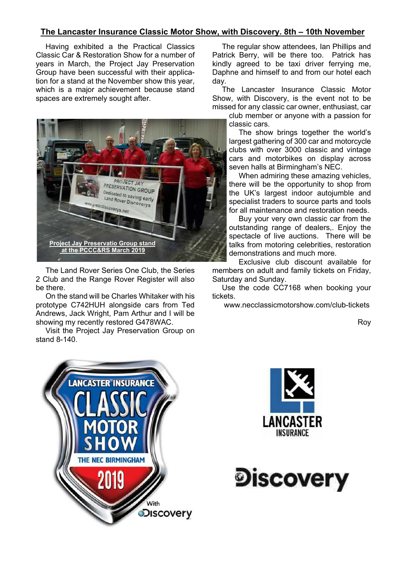## The Lancaster Insurance Classic Motor Show, with Discovery. 8th – 10th November

Having exhibited a the Practical Classics Classic Car & Restoration Show for a number of years in March, the Project Jay Preservation Group have been successful with their application for a stand at the November show this year, which is a major achievement because stand spaces are extremely sought after.



The Land Rover Series One Club, the Series 2 Club and the Range Rover Register will also be there.

On the stand will be Charles Whitaker with his prototype C742HUH alongside cars from Ted Andrews, Jack Wright, Pam Arthur and I will be showing my recently restored G478WAC.

Visit the Project Jay Preservation Group on stand 8-140.

The regular show attendees, Ian Phillips and Patrick Berry, will be there too. Patrick has kindly agreed to be taxi driver ferrying me, Daphne and himself to and from our hotel each day.

The Lancaster Insurance Classic Motor Show, with Discovery, is the event not to be missed for any classic car owner, enthusiast, car

club member or anyone with a passion for classic cars.

The show brings together the world's largest gathering of 300 car and motorcycle clubs with over 3000 classic and vintage cars and motorbikes on display across seven halls at Birmingham's NEC.

When admiring these amazing vehicles, there will be the opportunity to shop from the UK's largest indoor autojumble and specialist traders to source parts and tools for all maintenance and restoration needs.

Buy your very own classic car from the outstanding range of dealers,. Enjoy the spectacle of live auctions. There will be talks from motoring celebrities, restoration demonstrations and much more.

Exclusive club discount available for members on adult and family tickets on Friday, Saturday and Sunday.

Use the code CC7168 when booking your **tickets** 

www.necclassicmotorshow.com/club-tickets

Roy